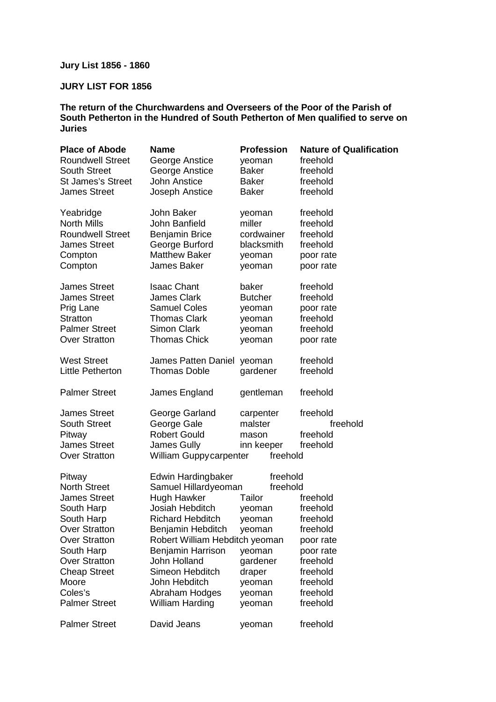# **Jury List 1856 - 1860**

## **JURY LIST FOR 1856**

### **The return of the Churchwardens and Overseers of the Poor of the Parish of South Petherton in the Hundred of South Petherton of Men qualified to serve on Juries**

| <b>Place of Abode</b>    | <b>Name</b>                    | <b>Profession</b> | <b>Nature of Qualification</b> |
|--------------------------|--------------------------------|-------------------|--------------------------------|
| <b>Roundwell Street</b>  | George Anstice                 | yeoman            | freehold                       |
| <b>South Street</b>      | George Anstice                 | <b>Baker</b>      | freehold                       |
| <b>St James's Street</b> | <b>John Anstice</b>            | <b>Baker</b>      | freehold                       |
| <b>James Street</b>      | Joseph Anstice                 | <b>Baker</b>      | freehold                       |
| Yeabridge                | John Baker                     | yeoman            | freehold                       |
| <b>North Mills</b>       | John Banfield                  | miller            | freehold                       |
| <b>Roundwell Street</b>  | <b>Benjamin Brice</b>          | cordwainer        | freehold                       |
| <b>James Street</b>      | George Burford                 | blacksmith        | freehold                       |
| Compton                  | <b>Matthew Baker</b>           | yeoman            | poor rate                      |
| Compton                  | James Baker                    | yeoman            | poor rate                      |
| <b>James Street</b>      | <b>Isaac Chant</b>             | baker             | freehold                       |
| <b>James Street</b>      | <b>James Clark</b>             | <b>Butcher</b>    | freehold                       |
| Prig Lane                | <b>Samuel Coles</b>            | yeoman            | poor rate                      |
| <b>Stratton</b>          | <b>Thomas Clark</b>            | yeoman            | freehold                       |
| <b>Palmer Street</b>     | <b>Simon Clark</b>             | yeoman            | freehold                       |
| <b>Over Stratton</b>     | <b>Thomas Chick</b>            | yeoman            | poor rate                      |
| <b>West Street</b>       | James Patten Daniel            | yeoman            | freehold                       |
| <b>Little Petherton</b>  | <b>Thomas Doble</b>            | gardener          | freehold                       |
| <b>Palmer Street</b>     | James England                  | gentleman         | freehold                       |
| <b>James Street</b>      | George Garland                 | carpenter         | freehold                       |
| <b>South Street</b>      | George Gale                    | malster           | freehold                       |
| Pitway                   | <b>Robert Gould</b>            | mason             | freehold                       |
| <b>James Street</b>      | James Gully                    | inn keeper        | freehold                       |
| <b>Over Stratton</b>     | William Guppy carpenter        | freehold          |                                |
| Pitway                   | Edwin Hardingbaker             | freehold          |                                |
| <b>North Street</b>      | Samuel Hillardyeoman           | freehold          |                                |
| <b>James Street</b>      | Hugh Hawker                    | Tailor            | freehold                       |
| South Harp               | Josiah Hebditch                | yeoman            | freehold                       |
| South Harp               | <b>Richard Hebditch</b>        | yeoman            | freehold                       |
| <b>Over Stratton</b>     | Benjamin Hebditch              | yeoman            | freehold                       |
| <b>Over Stratton</b>     | Robert William Hebditch yeoman |                   | poor rate                      |
| South Harp               | Benjamin Harrison              | yeoman            | poor rate                      |
| <b>Over Stratton</b>     | John Holland                   | gardener          | freehold                       |
| <b>Cheap Street</b>      | Simeon Hebditch                | draper            | freehold                       |
| Moore                    | John Hebditch                  | yeoman            | freehold                       |
| Coles's                  | Abraham Hodges                 | yeoman            | freehold                       |
| <b>Palmer Street</b>     | <b>William Harding</b>         | yeoman            | freehold                       |
| <b>Palmer Street</b>     | David Jeans                    | yeoman            | freehold                       |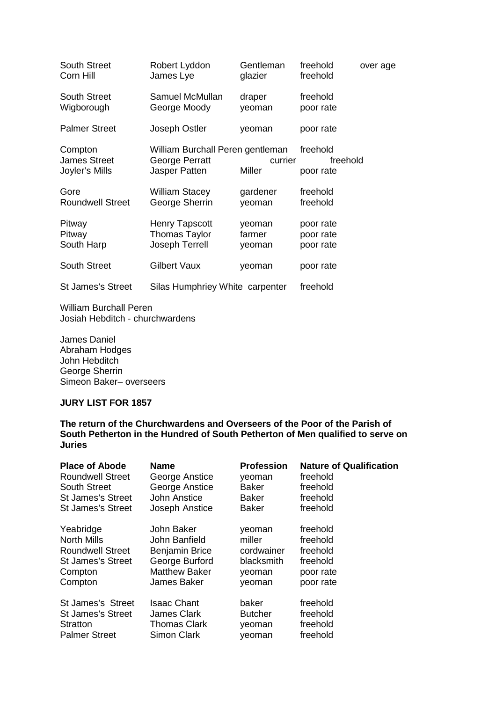| <b>South Street</b>                              | Robert Lyddon                                                       | Gentleman         | freehold                          | over age |
|--------------------------------------------------|---------------------------------------------------------------------|-------------------|-----------------------------------|----------|
| Corn Hill                                        | James Lye                                                           | glazier           | freehold                          |          |
| <b>South Street</b>                              | Samuel McMullan                                                     | draper            | freehold                          |          |
| Wigborough                                       | George Moody                                                        | yeoman            | poor rate                         |          |
| <b>Palmer Street</b>                             | Joseph Ostler                                                       | yeoman            | poor rate                         |          |
| Compton<br><b>James Street</b><br>Joyler's Mills | William Burchall Peren gentleman<br>George Perratt<br>Jasper Patten | currier<br>Miller | freehold<br>freehold<br>poor rate |          |
| Gore                                             | <b>William Stacey</b>                                               | gardener          | freehold                          |          |
| <b>Roundwell Street</b>                          | George Sherrin                                                      | yeoman            | freehold                          |          |
| Pitway                                           | <b>Henry Tapscott</b>                                               | yeoman            | poor rate                         |          |
| Pitway                                           | <b>Thomas Taylor</b>                                                | farmer            | poor rate                         |          |
| South Harp                                       | Joseph Terrell                                                      | yeoman            | poor rate                         |          |
| <b>South Street</b>                              | <b>Gilbert Vaux</b>                                                 | yeoman            | poor rate                         |          |
| <b>St James's Street</b>                         | Silas Humphriey White carpenter                                     |                   | freehold                          |          |

William Burchall Peren Josiah Hebditch - churchwardens

James Daniel Abraham Hodges John Hebditch George Sherrin Simeon Baker– overseers

#### **JURY LIST FOR 1857**

**The return of the Churchwardens and Overseers of the Poor of the Parish of South Petherton in the Hundred of South Petherton of Men qualified to serve on Juries** 

| <b>Place of Abode</b>    | <b>Name</b>           | <b>Profession</b> | <b>Nature of Qualification</b> |
|--------------------------|-----------------------|-------------------|--------------------------------|
| <b>Roundwell Street</b>  | George Anstice        | veoman            | freehold                       |
| <b>South Street</b>      | George Anstice        | Baker             | freehold                       |
| St James's Street        | John Anstice          | <b>Baker</b>      | freehold                       |
| <b>St James's Street</b> | Joseph Anstice        | <b>Baker</b>      | freehold                       |
| Yeabridge                | John Baker            | veoman            | freehold                       |
| <b>North Mills</b>       | John Banfield         | miller            | freehold                       |
| <b>Roundwell Street</b>  | <b>Benjamin Brice</b> | cordwainer        | freehold                       |
| St James's Street        | George Burford        | blacksmith        | freehold                       |
| Compton                  | <b>Matthew Baker</b>  | yeoman            | poor rate                      |
| Compton                  | <b>James Baker</b>    | yeoman            | poor rate                      |
| St James's Street        | <b>Isaac Chant</b>    | baker             | freehold                       |
| St James's Street        | James Clark           | <b>Butcher</b>    | freehold                       |
| Stratton                 | <b>Thomas Clark</b>   | yeoman            | freehold                       |
| <b>Palmer Street</b>     | <b>Simon Clark</b>    | yeoman            | freehold                       |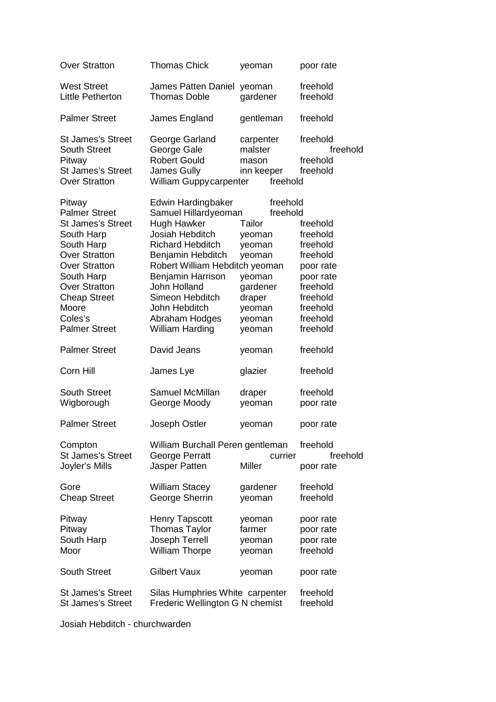| <b>Over Stratton</b>                                                                                                                                                                                                                            | <b>Thomas Chick</b>                                                                                                                                                                                                                                                                        | yeoman                                                                                                                     | poor rate                                                                                                                          |
|-------------------------------------------------------------------------------------------------------------------------------------------------------------------------------------------------------------------------------------------------|--------------------------------------------------------------------------------------------------------------------------------------------------------------------------------------------------------------------------------------------------------------------------------------------|----------------------------------------------------------------------------------------------------------------------------|------------------------------------------------------------------------------------------------------------------------------------|
| <b>West Street</b><br><b>Little Petherton</b>                                                                                                                                                                                                   | <b>James Patten Daniel</b><br><b>Thomas Doble</b>                                                                                                                                                                                                                                          | yeoman<br>gardener                                                                                                         | freehold<br>freehold                                                                                                               |
| <b>Palmer Street</b>                                                                                                                                                                                                                            | James England                                                                                                                                                                                                                                                                              | gentleman                                                                                                                  | freehold                                                                                                                           |
| <b>St James's Street</b><br><b>South Street</b><br>Pitway<br><b>St James's Street</b><br><b>Over Stratton</b>                                                                                                                                   | George Garland<br>George Gale<br><b>Robert Gould</b><br>James Gully<br>William Guppy carpenter                                                                                                                                                                                             | carpenter<br>malster<br>mason<br>inn keeper<br>freehold                                                                    | freehold<br>freehold<br>freehold<br>freehold                                                                                       |
| Pitway<br><b>Palmer Street</b><br><b>St James's Street</b><br>South Harp<br>South Harp<br><b>Over Stratton</b><br><b>Over Stratton</b><br>South Harp<br><b>Over Stratton</b><br><b>Cheap Street</b><br>Moore<br>Coles's<br><b>Palmer Street</b> | Edwin Hardingbaker<br>Samuel Hillardyeoman<br><b>Hugh Hawker</b><br>Josiah Hebditch<br><b>Richard Hebditch</b><br>Benjamin Hebditch<br>Robert William Hebditch yeoman<br>Benjamin Harrison<br>John Holland<br>Simeon Hebditch<br>John Hebditch<br>Abraham Hodges<br><b>William Harding</b> | freehold<br>freehold<br>Tailor<br>yeoman<br>yeoman<br>yeoman<br>yeoman<br>gardener<br>draper<br>yeoman<br>yeoman<br>yeoman | freehold<br>freehold<br>freehold<br>freehold<br>poor rate<br>poor rate<br>freehold<br>freehold<br>freehold<br>freehold<br>freehold |
| <b>Palmer Street</b>                                                                                                                                                                                                                            | David Jeans                                                                                                                                                                                                                                                                                | yeoman                                                                                                                     | freehold                                                                                                                           |
| Corn Hill                                                                                                                                                                                                                                       | James Lye                                                                                                                                                                                                                                                                                  | glazier                                                                                                                    | freehold                                                                                                                           |
| <b>South Street</b><br>Wigborough                                                                                                                                                                                                               | Samuel McMillan<br>George Moody                                                                                                                                                                                                                                                            | draper<br>yeoman                                                                                                           | freehold<br>poor rate                                                                                                              |
| <b>Palmer Street</b>                                                                                                                                                                                                                            | Joseph Ostler                                                                                                                                                                                                                                                                              | yeoman                                                                                                                     | poor rate                                                                                                                          |
| Compton<br><b>St James's Street</b><br>Joyler's Mills                                                                                                                                                                                           | William Burchall Peren gentleman<br><b>George Perratt</b><br>Jasper Patten                                                                                                                                                                                                                 | currier<br>Miller                                                                                                          | freehold<br>freehold<br>poor rate                                                                                                  |
| Gore<br><b>Cheap Street</b>                                                                                                                                                                                                                     | <b>William Stacey</b><br>George Sherrin                                                                                                                                                                                                                                                    | gardener<br>yeoman                                                                                                         | freehold<br>freehold                                                                                                               |
| Pitway<br>Pitway<br>South Harp<br>Moor                                                                                                                                                                                                          | <b>Henry Tapscott</b><br><b>Thomas Taylor</b><br>Joseph Terrell<br><b>William Thorpe</b>                                                                                                                                                                                                   | yeoman<br>farmer<br>yeoman<br>yeoman                                                                                       | poor rate<br>poor rate<br>poor rate<br>freehold                                                                                    |
| <b>South Street</b>                                                                                                                                                                                                                             | <b>Gilbert Vaux</b>                                                                                                                                                                                                                                                                        | yeoman                                                                                                                     | poor rate                                                                                                                          |
| <b>St James's Street</b><br><b>St James's Street</b>                                                                                                                                                                                            | Silas Humphries White carpenter<br>Frederic Wellington G N chemist                                                                                                                                                                                                                         |                                                                                                                            | freehold<br>freehold                                                                                                               |

Josiah Hebditch - churchwarden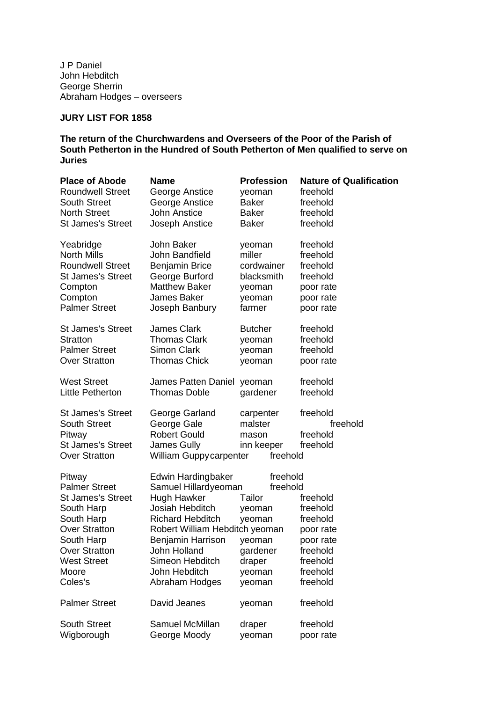J P Daniel John Hebditch George Sherrin Abraham Hodges – overseers

# **JURY LIST FOR 1858**

#### **The return of the Churchwardens and Overseers of the Poor of the Parish of South Petherton in the Hundred of South Petherton of Men qualified to serve on Juries**

| <b>Place of Abode</b>                                                                                                                                                                                           | Name                                                                                                                                                                                                                                                        | <b>Profession</b>                                                                                                | <b>Nature of Qualification</b>                                                                                         |
|-----------------------------------------------------------------------------------------------------------------------------------------------------------------------------------------------------------------|-------------------------------------------------------------------------------------------------------------------------------------------------------------------------------------------------------------------------------------------------------------|------------------------------------------------------------------------------------------------------------------|------------------------------------------------------------------------------------------------------------------------|
| <b>Roundwell Street</b>                                                                                                                                                                                         | George Anstice                                                                                                                                                                                                                                              | yeoman                                                                                                           | freehold                                                                                                               |
| <b>South Street</b>                                                                                                                                                                                             | George Anstice                                                                                                                                                                                                                                              | <b>Baker</b>                                                                                                     | freehold                                                                                                               |
| <b>North Street</b>                                                                                                                                                                                             | <b>John Anstice</b>                                                                                                                                                                                                                                         | <b>Baker</b>                                                                                                     | freehold                                                                                                               |
| <b>St James's Street</b>                                                                                                                                                                                        | Joseph Anstice                                                                                                                                                                                                                                              | <b>Baker</b>                                                                                                     | freehold                                                                                                               |
| Yeabridge                                                                                                                                                                                                       | John Baker                                                                                                                                                                                                                                                  | yeoman                                                                                                           | freehold                                                                                                               |
| <b>North Mills</b>                                                                                                                                                                                              | John Bandfield                                                                                                                                                                                                                                              | miller                                                                                                           | freehold                                                                                                               |
| <b>Roundwell Street</b>                                                                                                                                                                                         | <b>Benjamin Brice</b>                                                                                                                                                                                                                                       | cordwainer                                                                                                       | freehold                                                                                                               |
| <b>St James's Street</b>                                                                                                                                                                                        | George Burford                                                                                                                                                                                                                                              | blacksmith                                                                                                       | freehold                                                                                                               |
| Compton                                                                                                                                                                                                         | <b>Matthew Baker</b>                                                                                                                                                                                                                                        | yeoman                                                                                                           | poor rate                                                                                                              |
| Compton                                                                                                                                                                                                         | James Baker                                                                                                                                                                                                                                                 | yeoman                                                                                                           | poor rate                                                                                                              |
| <b>Palmer Street</b>                                                                                                                                                                                            | Joseph Banbury                                                                                                                                                                                                                                              | farmer                                                                                                           | poor rate                                                                                                              |
| <b>St James's Street</b>                                                                                                                                                                                        | James Clark                                                                                                                                                                                                                                                 | <b>Butcher</b>                                                                                                   | freehold                                                                                                               |
| <b>Stratton</b>                                                                                                                                                                                                 | <b>Thomas Clark</b>                                                                                                                                                                                                                                         | yeoman                                                                                                           | freehold                                                                                                               |
| <b>Palmer Street</b>                                                                                                                                                                                            | <b>Simon Clark</b>                                                                                                                                                                                                                                          | yeoman                                                                                                           | freehold                                                                                                               |
| <b>Over Stratton</b>                                                                                                                                                                                            | <b>Thomas Chick</b>                                                                                                                                                                                                                                         | yeoman                                                                                                           | poor rate                                                                                                              |
| <b>West Street</b>                                                                                                                                                                                              | James Patten Daniel                                                                                                                                                                                                                                         | yeoman                                                                                                           | freehold                                                                                                               |
| <b>Little Petherton</b>                                                                                                                                                                                         | <b>Thomas Doble</b>                                                                                                                                                                                                                                         | gardener                                                                                                         | freehold                                                                                                               |
| <b>St James's Street</b><br>South Street<br>Pitway<br><b>St James's Street</b><br><b>Over Stratton</b>                                                                                                          | George Garland<br>George Gale<br><b>Robert Gould</b><br>James Gully<br>William Guppy carpenter                                                                                                                                                              | carpenter<br>malster<br>mason<br>inn keeper<br>freehold                                                          | freehold<br>freehold<br>freehold<br>freehold                                                                           |
| Pitway<br><b>Palmer Street</b><br><b>St James's Street</b><br>South Harp<br>South Harp<br><b>Over Stratton</b><br>South Harp<br>Over Stratton<br><b>West Street</b><br>Moore<br>Coles's<br><b>Palmer Street</b> | <b>Edwin Hardingbaker</b><br>Samuel Hillardyeoman<br>Hugh Hawker<br>Josiah Hebditch<br><b>Richard Hebditch</b><br>Robert William Hebditch yeoman<br>Benjamin Harrison<br>John Holland<br>Simeon Hebditch<br>John Hebditch<br>Abraham Hodges<br>David Jeanes | freehold<br>freehold<br>Tailor<br>yeoman<br>yeoman<br>yeoman<br>gardener<br>draper<br>yeoman<br>yeoman<br>yeoman | freehold<br>freehold<br>freehold<br>poor rate<br>poor rate<br>freehold<br>freehold<br>freehold<br>freehold<br>freehold |
| <b>South Street</b>                                                                                                                                                                                             | Samuel McMillan                                                                                                                                                                                                                                             | draper                                                                                                           | freehold                                                                                                               |
| Wigborough                                                                                                                                                                                                      | George Moody                                                                                                                                                                                                                                                | yeoman                                                                                                           | poor rate                                                                                                              |